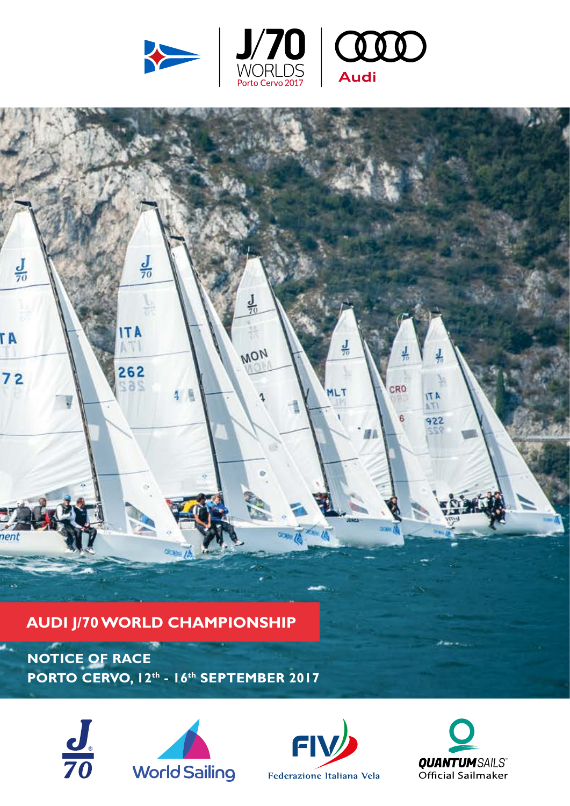







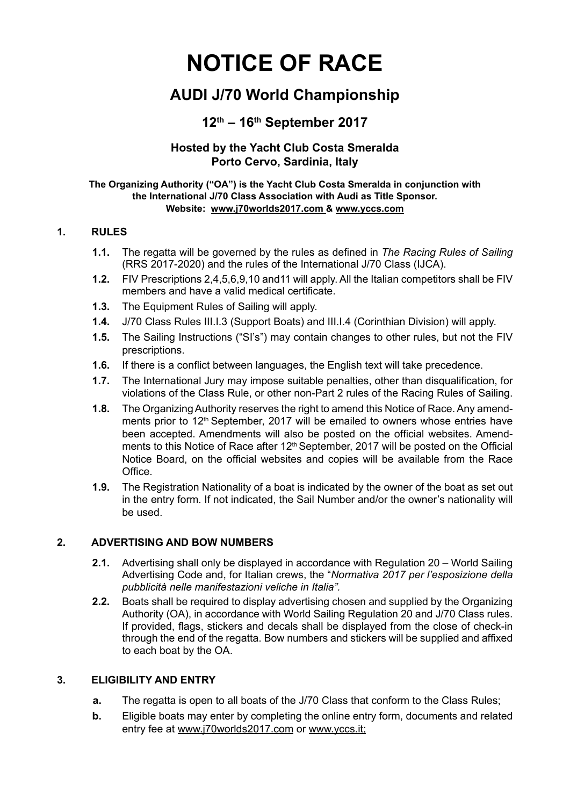# **NOTICE OF RACE**

# **AUDI J/70 World Championship**

# **12th – 16th September 2017**

#### **Hosted by the Yacht Club Costa Smeralda Porto Cervo, Sardinia, Italy**

#### **The Organizing Authority ("OA") is the Yacht Club Costa Smeralda in conjunction with the International J/70 Class Association with Audi as Title Sponsor. Website: [www.j70worlds2017.com](http://www.j70worlds2017.com) & [www.yccs.com](http://www.yccs.com)**

#### **1. RULES**

- **1.1.** The regatta will be governed by the rules as defined in *The Racing Rules of Sailing*  (RRS 2017-2020) and the rules of the International J/70 Class (IJCA).
- **1.2.** FIV Prescriptions 2,4,5,6,9,10 and11 will apply. All the Italian competitors shall be FIV members and have a valid medical certificate.
- **1.3.** The Equipment Rules of Sailing will apply.
- **1.4.** J/70 Class Rules III.I.3 (Support Boats) and III.I.4 (Corinthian Division) will apply.
- **1.5.** The Sailing Instructions ("SI's") may contain changes to other rules, but not the FIV prescriptions.
- **1.6.** If there is a conflict between languages, the English text will take precedence.
- **1.7.** The International Jury may impose suitable penalties, other than disqualification, for violations of the Class Rule, or other non-Part 2 rules of the Racing Rules of Sailing.
- **1.8.** The Organizing Authority reserves the right to amend this Notice of Race. Any amendments prior to 12<sup>th</sup> September, 2017 will be emailed to owners whose entries have been accepted. Amendments will also be posted on the official websites. Amendments to this Notice of Race after 12<sup>th</sup> September, 2017 will be posted on the Official Notice Board, on the official websites and copies will be available from the Race Office.
- **1.9.** The Registration Nationality of a boat is indicated by the owner of the boat as set out in the entry form. If not indicated, the Sail Number and/or the owner's nationality will be used.

#### **2. ADVERTISING AND BOW NUMBERS**

- **2.1.** Advertising shall only be displayed in accordance with Regulation 20 World Sailing Advertising Code and, for Italian crews, the "*Normativa 2017 per l'esposizione della pubblicità nelle manifestazioni veliche in Italia".*
- **2.2.** Boats shall be required to display advertising chosen and supplied by the Organizing Authority (OA), in accordance with World Sailing Regulation 20 and J/70 Class rules. If provided, flags, stickers and decals shall be displayed from the close of check-in through the end of the regatta. Bow numbers and stickers will be supplied and affixed to each boat by the OA.

#### **3. ELIGIBILITY AND ENTRY**

- **a.** The regatta is open to all boats of the J/70 Class that conform to the Class Rules;
- **b.** Eligible boats may enter by completing the online entry form, documents and related entry fee at [www.j70worlds2017.com](http://www.j70worlds2017.com) or [www.yccs.it](http://www.yccs.it);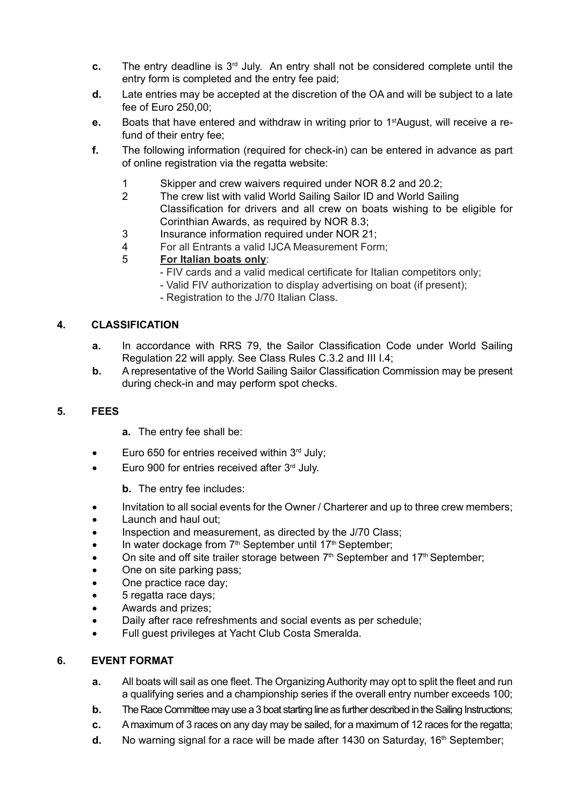- **c.** The entry deadline is 3<sup>rd</sup> July. An entry shall not be considered complete until the entry form is completed and the entry fee paid;
- **d.** Late entries may be accepted at the discretion of the OA and will be subject to a late fee of Euro 250,00;
- **e.** Boats that have entered and withdraw in writing prior to 1<sup>st</sup>August, will receive a refund of their entry fee;
- **f.** The following information (required for check-in) can be entered in advance as part of online registration via the regatta website:
	- 1 Skipper and crew waivers required under NOR 8.2 and 20.2;
	- 2 The crew list with valid World Sailing Sailor ID and World Sailing Classification for drivers and all crew on boats wishing to be eligible for Corinthian Awards, as required by NOR 8.3;
	- 3 Insurance information required under NOR 21;
	- 4 For all Entrants a valid IJCA Measurement Form;
	- 5 **For Italian boats only**:
		- FIV cards and a valid medical certificate for Italian competitors only;
		- Valid FIV authorization to display advertising on boat (if present);
		- Registration to the J/70 Italian Class.

#### **4. CLASSIFICATION**

- **a.** In accordance with RRS 79, the Sailor Classification Code under World Sailing Regulation 22 will apply. See Class Rules C.3.2 and III I.4;
- **b.** A representative of the World Sailing Sailor Classification Commission may be present during check-in and may perform spot checks.

#### **5. FEES**

- **a.** The entry fee shall be:
- Euro 650 for entries received within  $3<sup>rd</sup>$  July;
- Euro 900 for entries received after  $3<sup>rd</sup>$  July.

**b.** The entry fee includes:

- Invitation to all social events for the Owner / Charterer and up to three crew members;
- Launch and haul out:
- Inspection and measurement, as directed by the J/70 Class;
- In water dockage from  $7<sup>th</sup>$  September until  $17<sup>th</sup>$  September;
- On site and off site trailer storage between  $7<sup>th</sup>$  September and 17<sup>th</sup> September;
- One on site parking pass;
- One practice race day;
- 5 regatta race days;
- Awards and prizes;
- Daily after race refreshments and social events as per schedule;
- Full guest privileges at Yacht Club Costa Smeralda.

#### **6. EVENT FORMAT**

- **a.** All boats will sail as one fleet. The Organizing Authority may opt to split the fleet and run a qualifying series and a championship series if the overall entry number exceeds 100;
- **b.** The Race Committee may use a 3 boat starting line as further described in the Sailing Instructions;
- **c.** A maximum of 3 races on any day may be sailed, for a maximum of 12 races for the regatta;
- **d.** No warning signal for a race will be made after 1430 on Saturday, 16<sup>th</sup> September;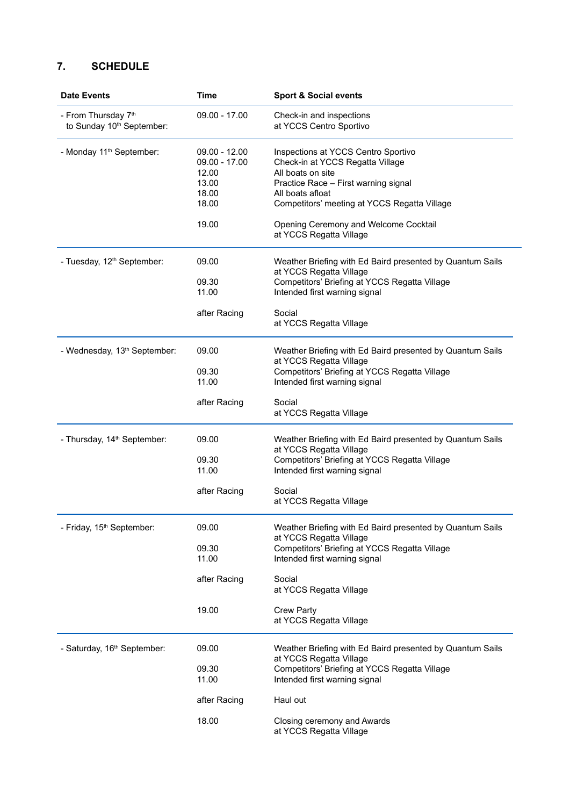## **7. SCHEDULE**

| <b>Date Events</b>                                           | <b>Time</b>                                                          | <b>Sport &amp; Social events</b>                                                                                                                                                                         |
|--------------------------------------------------------------|----------------------------------------------------------------------|----------------------------------------------------------------------------------------------------------------------------------------------------------------------------------------------------------|
| - From Thursday 7th<br>to Sunday 10 <sup>th</sup> September: | $09.00 - 17.00$                                                      | Check-in and inspections<br>at YCCS Centro Sportivo                                                                                                                                                      |
| - Monday 11 <sup>th</sup> September:                         | $09.00 - 12.00$<br>09.00 - 17.00<br>12.00<br>13.00<br>18.00<br>18.00 | Inspections at YCCS Centro Sportivo<br>Check-in at YCCS Regatta Village<br>All boats on site<br>Practice Race - First warning signal<br>All boats afloat<br>Competitors' meeting at YCCS Regatta Village |
|                                                              | 19.00                                                                | Opening Ceremony and Welcome Cocktail<br>at YCCS Regatta Village                                                                                                                                         |
| - Tuesday, 12 <sup>th</sup> September:                       | 09.00                                                                | Weather Briefing with Ed Baird presented by Quantum Sails<br>at YCCS Regatta Village                                                                                                                     |
|                                                              | 09.30<br>11.00                                                       | Competitors' Briefing at YCCS Regatta Village<br>Intended first warning signal                                                                                                                           |
|                                                              | after Racing                                                         | Social<br>at YCCS Regatta Village                                                                                                                                                                        |
| - Wednesday, 13 <sup>th</sup> September:                     | 09.00                                                                | Weather Briefing with Ed Baird presented by Quantum Sails<br>at YCCS Regatta Village                                                                                                                     |
|                                                              | 09.30<br>11.00                                                       | Competitors' Briefing at YCCS Regatta Village<br>Intended first warning signal                                                                                                                           |
|                                                              | after Racing                                                         | Social<br>at YCCS Regatta Village                                                                                                                                                                        |
| - Thursday, 14 <sup>th</sup> September:                      | 09.00                                                                | Weather Briefing with Ed Baird presented by Quantum Sails<br>at YCCS Regatta Village                                                                                                                     |
|                                                              | 09.30<br>11.00                                                       | Competitors' Briefing at YCCS Regatta Village<br>Intended first warning signal                                                                                                                           |
|                                                              | after Racing                                                         | Social<br>at YCCS Regatta Village                                                                                                                                                                        |
| - Friday, 15 <sup>th</sup> September:                        | 09.00                                                                | Weather Briefing with Ed Baird presented by Quantum Sails<br>at YCCS Regatta Village                                                                                                                     |
|                                                              | 09.30<br>11.00                                                       | Competitors' Briefing at YCCS Regatta Village<br>Intended first warning signal                                                                                                                           |
|                                                              | after Racing                                                         | Social<br>at YCCS Regatta Village                                                                                                                                                                        |
|                                                              | 19.00                                                                | <b>Crew Party</b><br>at YCCS Regatta Village                                                                                                                                                             |
| - Saturday, 16 <sup>th</sup> September:                      | 09.00                                                                | Weather Briefing with Ed Baird presented by Quantum Sails<br>at YCCS Regatta Village                                                                                                                     |
|                                                              | 09.30<br>11.00                                                       | Competitors' Briefing at YCCS Regatta Village<br>Intended first warning signal                                                                                                                           |
|                                                              | after Racing                                                         | Haul out                                                                                                                                                                                                 |
|                                                              | 18.00                                                                | Closing ceremony and Awards<br>at YCCS Regatta Village                                                                                                                                                   |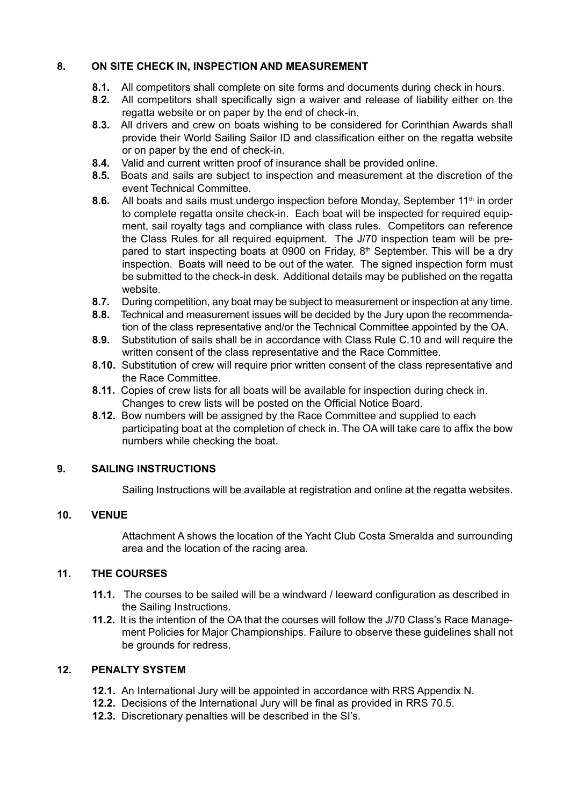#### **8. ON SITE CHECK IN, INSPECTION AND MEASUREMENT**

- **8.1.** All competitors shall complete on site forms and documents during check in hours.
- **8.2.** All competitors shall specifically sign a waiver and release of liability either on the regatta website or on paper by the end of check-in.
- **8.3.** All drivers and crew on boats wishing to be considered for Corinthian Awards shall provide their World Sailing Sailor ID and classification either on the regatta website or on paper by the end of check-in.
- **8.4.** Valid and current written proof of insurance shall be provided online.
- **8.5.** Boats and sails are subject to inspection and measurement at the discretion of the event Technical Committee.
- **8.6.** All boats and sails must undergo inspection before Monday, September 11<sup>th</sup> in order to complete regatta onsite check-in. Each boat will be inspected for required equipment, sail royalty tags and compliance with class rules. Competitors can reference the Class Rules for all required equipment. The J/70 inspection team will be prepared to start inspecting boats at 0900 on Friday, 8<sup>th</sup> September. This will be a drv inspection. Boats will need to be out of the water. The signed inspection form must be submitted to the check-in desk. Additional details may be published on the regatta website.
- **8.7.** During competition, any boat may be subject to measurement or inspection at any time.
- **8.8.** Technical and measurement issues will be decided by the Jury upon the recommendation of the class representative and/or the Technical Committee appointed by the OA.
- **8.9.** Substitution of sails shall be in accordance with Class Rule C.10 and will require the written consent of the class representative and the Race Committee.
- **8.10.** Substitution of crew will require prior written consent of the class representative and the Race Committee.
- **8.11.** Copies of crew lists for all boats will be available for inspection during check in. Changes to crew lists will be posted on the Official Notice Board.
- **8.12.** Bow numbers will be assigned by the Race Committee and supplied to each participating boat at the completion of check in. The OA will take care to affix the bow numbers while checking the boat.

#### **9. SAILING INSTRUCTIONS**

Sailing Instructions will be available at registration and online at the regatta websites.

#### **10. VENUE**

Attachment A shows the location of the Yacht Club Costa Smeralda and surrounding area and the location of the racing area.

#### **11. THE COURSES**

- **11.1.** The courses to be sailed will be a windward / leeward configuration as described in the Sailing Instructions.
- **11.2.** It is the intention of the OA that the courses will follow the J/70 Class's Race Management Policies for Major Championships. Failure to observe these guidelines shall not be grounds for redress.

#### **12. PENALTY SYSTEM**

- **12.1.** An International Jury will be appointed in accordance with RRS Appendix N.
- **12.2.** Decisions of the International Jury will be final as provided in RRS 70.5.
- **12.3.** Discretionary penalties will be described in the SI's.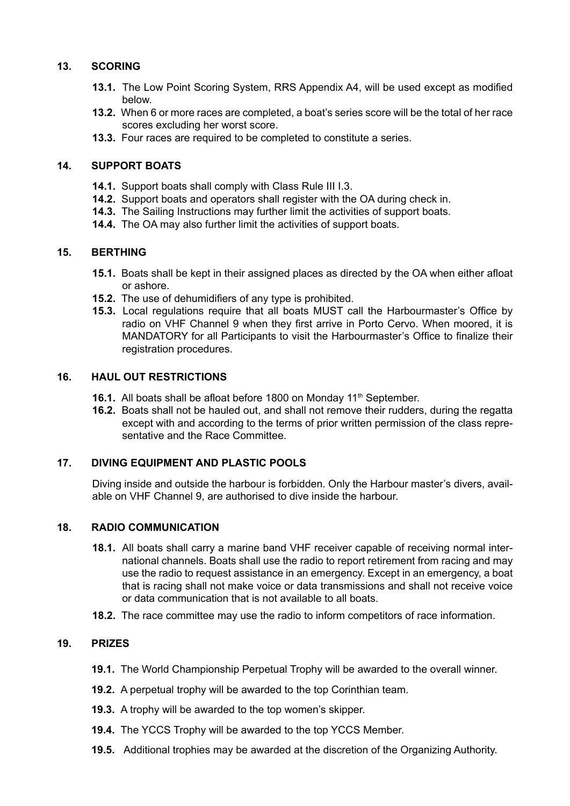#### **13. SCORING**

- **13.1.** The Low Point Scoring System, RRS Appendix A4, will be used except as modified below.
- **13.2.** When 6 or more races are completed, a boat's series score will be the total of her race scores excluding her worst score.
- **13.3.** Four races are required to be completed to constitute a series.

#### **14. SUPPORT BOATS**

- **14.1.** Support boats shall comply with Class Rule III I.3.
- **14.2.** Support boats and operators shall register with the OA during check in.
- **14.3.** The Sailing Instructions may further limit the activities of support boats.
- **14.4.** The OA may also further limit the activities of support boats.

#### **15. BERTHING**

- **15.1.** Boats shall be kept in their assigned places as directed by the OA when either afloat or ashore.
- **15.2.** The use of dehumidifiers of any type is prohibited.
- **15.3.** Local regulations require that all boats MUST call the Harbourmaster's Office by radio on VHF Channel 9 when they first arrive in Porto Cervo. When moored, it is MANDATORY for all Participants to visit the Harbourmaster's Office to finalize their registration procedures.

#### **16. HAUL OUT RESTRICTIONS**

- **16.1.** All boats shall be afloat before 1800 on Monday 11<sup>th</sup> September.
- **16.2.** Boats shall not be hauled out, and shall not remove their rudders, during the regatta except with and according to the terms of prior written permission of the class representative and the Race Committee.

#### **17. DIVING EQUIPMENT AND PLASTIC POOLS**

Diving inside and outside the harbour is forbidden. Only the Harbour master's divers, available on VHF Channel 9, are authorised to dive inside the harbour.

#### **18. RADIO COMMUNICATION**

- **18.1.** All boats shall carry a marine band VHF receiver capable of receiving normal international channels. Boats shall use the radio to report retirement from racing and may use the radio to request assistance in an emergency. Except in an emergency, a boat that is racing shall not make voice or data transmissions and shall not receive voice or data communication that is not available to all boats.
- **18.2.** The race committee may use the radio to inform competitors of race information.

#### **19. PRIZES**

- **19.1.** The World Championship Perpetual Trophy will be awarded to the overall winner.
- **19.2.** A perpetual trophy will be awarded to the top Corinthian team.
- **19.3.** A trophy will be awarded to the top women's skipper.
- **19.4.** The YCCS Trophy will be awarded to the top YCCS Member.
- **19.5.** Additional trophies may be awarded at the discretion of the Organizing Authority.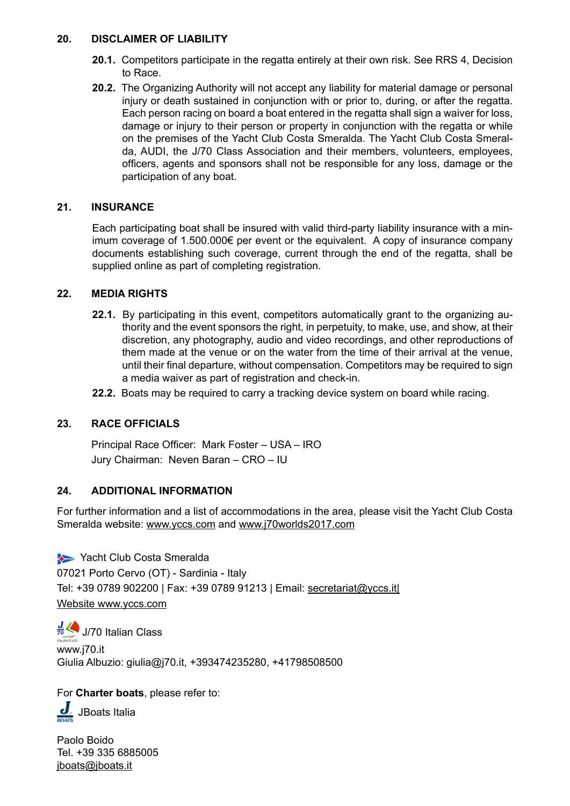#### **20. DISCLAIMER OF LIABILITY**

- **20.1.** Competitors participate in the regatta entirely at their own risk. See RRS 4, Decision to Race.
- **20.2.** The Organizing Authority will not accept any liability for material damage or personal injury or death sustained in conjunction with or prior to, during, or after the regatta. Each person racing on board a boat entered in the regatta shall sign a waiver for loss, damage or injury to their person or property in conjunction with the regatta or while on the premises of the Yacht Club Costa Smeralda. The Yacht Club Costa Smeralda, AUDI, the J/70 Class Association and their members, volunteers, employees, officers, agents and sponsors shall not be responsible for any loss, damage or the participation of any boat.

#### **21. INSURANCE**

Each participating boat shall be insured with valid third-party liability insurance with a minimum coverage of 1.500.000€ per event or the equivalent. A copy of insurance company documents establishing such coverage, current through the end of the regatta, shall be supplied online as part of completing registration.

#### **22. MEDIA RIGHTS**

- **22.1.** By participating in this event, competitors automatically grant to the organizing authority and the event sponsors the right, in perpetuity, to make, use, and show, at their discretion, any photography, audio and video recordings, and other reproductions of them made at the venue or on the water from the time of their arrival at the venue, until their final departure, without compensation. Competitors may be required to sign a media waiver as part of registration and check-in.
- **22.2.** Boats may be required to carry a tracking device system on board while racing.

#### **23. RACE OFFICIALS**

Principal Race Officer: Mark Foster – USA – IRO Jury Chairman: Neven Baran – CRO – IU

#### **24. ADDITIONAL INFORMATION**

For further information and a list of accommodations in the area, please visit the Yacht Club Costa Smeralda website: [www.yccs.com](http://www.yccs.com) and [www.j70worlds2017.com](http://www.j70worlds2017.com)

Yacht Club Costa Smeralda 07021 Porto Cervo (OT) - Sardinia - Italy Tel: +39 0789 902200 | Fax: +39 0789 91213 | Email: [secretariat@yccs.it|](mailto:secretariat@yccs.it|) Website [www.yccs.com](http://www.yccs.com)

 $\frac{J}{70}$  J/70 Italian Class [www.j70.it](http://www.j70.it/) Giulia Albuzio: [giulia@j70.it](mailto:giulia@j70.it), +393474235280, +41798508500

For **Charter boats**, please refer to:

J. JBoats Italia

Paolo Boido Tel. +39 335 6885005 [jboats@jboats.it](mailto:jboats@jboats.it)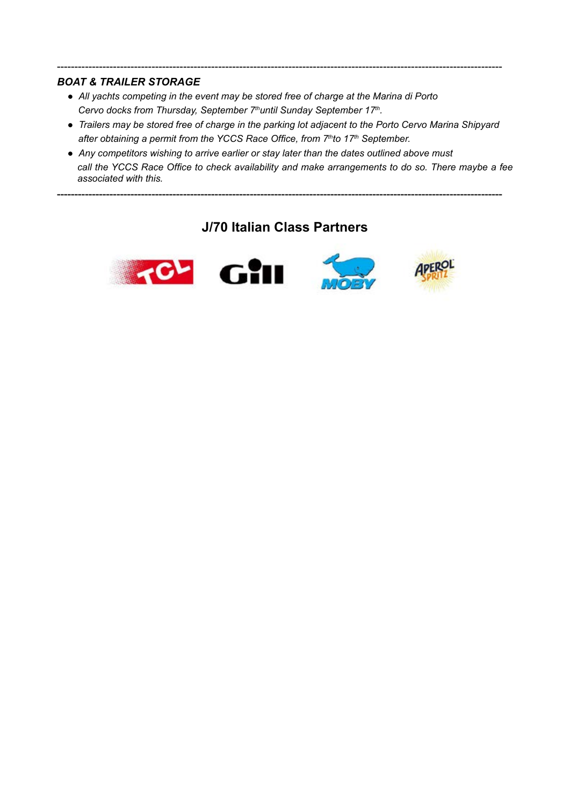#### *BOAT & TRAILER STORAGE*

- *All yachts competing in the event may be stored free of charge at the Marina di Porto*  Cervo docks from Thursday, September 7<sup>th</sup>until Sunday September 17<sup>th</sup>.
- *Trailers may be stored free of charge in the parking lot adjacent to the Porto Cervo Marina Shipyard*  after obtaining a permit from the YCCS Race Office, from 7<sup>th</sup>to 17<sup>th</sup> September.

-------------------------------------------------------------------------------------------------------------------------------

● *Any competitors wishing to arrive earlier or stay later than the dates outlined above must call the YCCS Race Office to check availability and make arrangements to do so. There maybe a fee associated with this.* 

## **J/70 Italian Class Partners**

**-------------------------------------------------------------------------------------------------------------------------------**



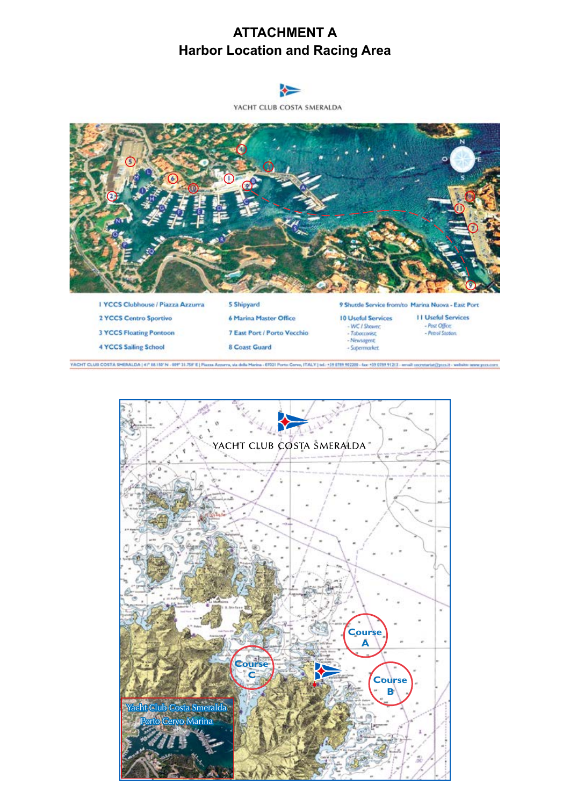# **ATTACHMENT A Harbor Location and Racing Area**

YACHT CLUB COSTA SMERALDA I YCCS Clubhouse / Piazza Azzurra 5 Shipyard 9 Shuttle Service from/to Marina Nuova - East Port **II Useful Services** 2 YCCS Centro Sportivo 6 Marina Master Office **10 Useful Services** - WC / Shower - Post Office: **3 YCCS Floating Pontoon** 7 East Port / Porto Vecchio Tabacconist - Petrol Stotion - Newsagent **4 YCCS Sailing School** 8 Coast Guard

VACHT CLUB COSTA SMERALDA | 41" 88.150"N - 089" 31.758"E | Piazza Azzarra, via della Marina - 67021 Porto Corvo, ITALY | tel. +39 8789 98230 - fax: +39 0789 91213 - email: secretarist[[pos.if - website: www.post.com